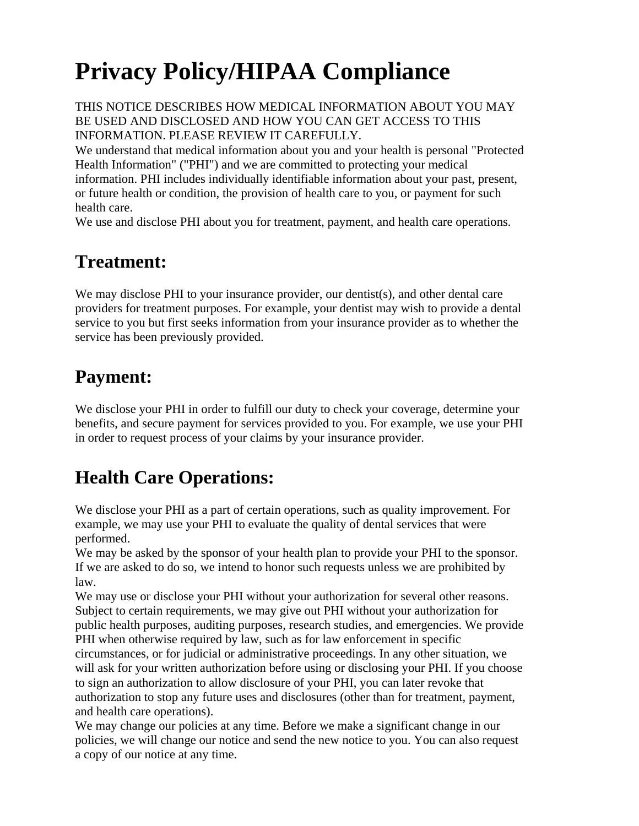# **Privacy Policy/HIPAA Compliance**

THIS NOTICE DESCRIBES HOW MEDICAL INFORMATION ABOUT YOU MAY BE USED AND DISCLOSED AND HOW YOU CAN GET ACCESS TO THIS INFORMATION. PLEASE REVIEW IT CAREFULLY.

We understand that medical information about you and your health is personal "Protected Health Information" ("PHI") and we are committed to protecting your medical information. PHI includes individually identifiable information about your past, present, or future health or condition, the provision of health care to you, or payment for such health care.

We use and disclose PHI about you for treatment, payment, and health care operations.

#### **Treatment:**

We may disclose PHI to your insurance provider, our dentist(s), and other dental care providers for treatment purposes. For example, your dentist may wish to provide a dental service to you but first seeks information from your insurance provider as to whether the service has been previously provided.

#### **Payment:**

We disclose your PHI in order to fulfill our duty to check your coverage, determine your benefits, and secure payment for services provided to you. For example, we use your PHI in order to request process of your claims by your insurance provider.

# **Health Care Operations:**

We disclose your PHI as a part of certain operations, such as quality improvement. For example, we may use your PHI to evaluate the quality of dental services that were performed.

We may be asked by the sponsor of your health plan to provide your PHI to the sponsor. If we are asked to do so, we intend to honor such requests unless we are prohibited by law.

We may use or disclose your PHI without your authorization for several other reasons. Subject to certain requirements, we may give out PHI without your authorization for public health purposes, auditing purposes, research studies, and emergencies. We provide PHI when otherwise required by law, such as for law enforcement in specific circumstances, or for judicial or administrative proceedings. In any other situation, we will ask for your written authorization before using or disclosing your PHI. If you choose to sign an authorization to allow disclosure of your PHI, you can later revoke that authorization to stop any future uses and disclosures (other than for treatment, payment, and health care operations).

We may change our policies at any time. Before we make a significant change in our policies, we will change our notice and send the new notice to you. You can also request a copy of our notice at any time.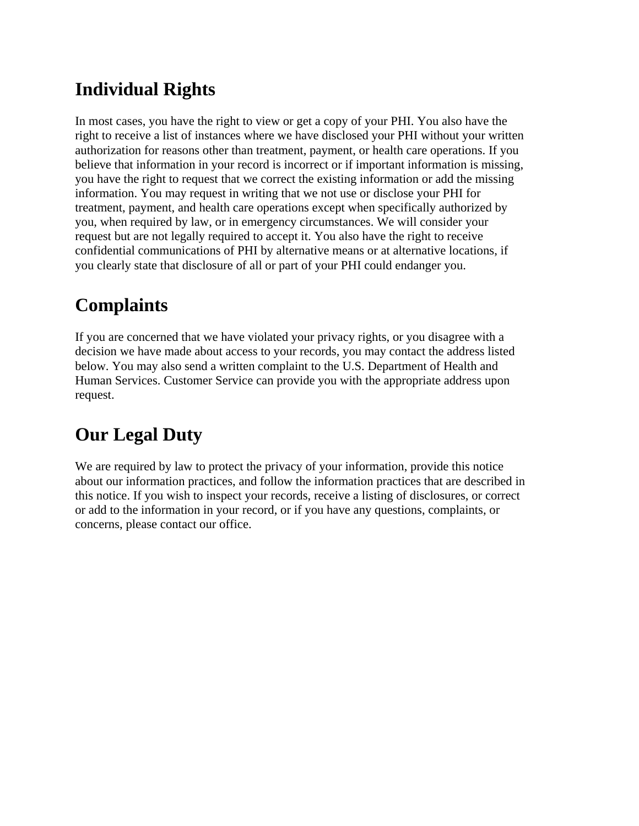## **Individual Rights**

In most cases, you have the right to view or get a copy of your PHI. You also have the right to receive a list of instances where we have disclosed your PHI without your written authorization for reasons other than treatment, payment, or health care operations. If you believe that information in your record is incorrect or if important information is missing, you have the right to request that we correct the existing information or add the missing information. You may request in writing that we not use or disclose your PHI for treatment, payment, and health care operations except when specifically authorized by you, when required by law, or in emergency circumstances. We will consider your request but are not legally required to accept it. You also have the right to receive confidential communications of PHI by alternative means or at alternative locations, if you clearly state that disclosure of all or part of your PHI could endanger you.

#### **Complaints**

If you are concerned that we have violated your privacy rights, or you disagree with a decision we have made about access to your records, you may contact the address listed below. You may also send a written complaint to the U.S. Department of Health and Human Services. Customer Service can provide you with the appropriate address upon request.

### **Our Legal Duty**

We are required by law to protect the privacy of your information, provide this notice about our information practices, and follow the information practices that are described in this notice. If you wish to inspect your records, receive a listing of disclosures, or correct or add to the information in your record, or if you have any questions, complaints, or concerns, please contact our office.